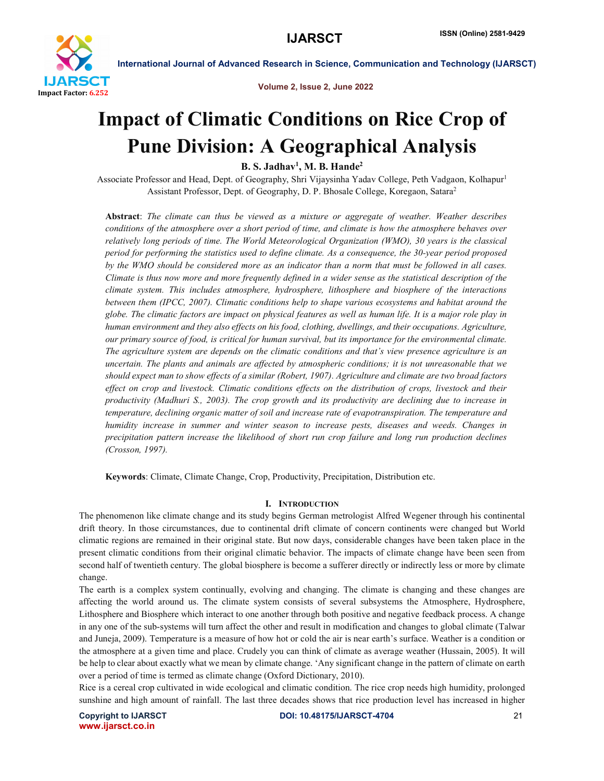

Volume 2, Issue 2, June 2022

# Impact of Climatic Conditions on Rice Crop of Pune Division: A Geographical Analysis

B. S. Jadhav<sup>1</sup>, M. B. Hande<sup>2</sup>

Associate Professor and Head, Dept. of Geography, Shri Vijaysinha Yadav College, Peth Vadgaon, Kolhapur1 Assistant Professor, Dept. of Geography, D. P. Bhosale College, Koregaon, Satara2

Abstract: *The climate can thus be viewed as a mixture or aggregate of weather. Weather describes conditions of the atmosphere over a short period of time, and climate is how the atmosphere behaves over relatively long periods of time. The World Meteorological Organization (WMO), 30 years is the classical period for performing the statistics used to define climate. As a consequence, the 30-year period proposed by the WMO should be considered more as an indicator than a norm that must be followed in all cases. Climate is thus now more and more frequently defined in a wider sense as the statistical description of the climate system. This includes atmosphere, hydrosphere, lithosphere and biosphere of the interactions between them (IPCC, 2007). Climatic conditions help to shape various ecosystems and habitat around the globe. The climatic factors are impact on physical features as well as human life. It is a major role play in human environment and they also effects on his food, clothing, dwellings, and their occupations. Agriculture, our primary source of food, is critical for human survival, but its importance for the environmental climate. The agriculture system are depends on the climatic conditions and that's view presence agriculture is an uncertain. The plants and animals are affected by atmospheric conditions; it is not unreasonable that we should expect man to show effects of a similar (Robert, 1907). Agriculture and climate are two broad factors effect on crop and livestock. Climatic conditions effects on the distribution of crops, livestock and their productivity (Madhuri S., 2003). The crop growth and its productivity are declining due to increase in temperature, declining organic matter of soil and increase rate of evapotranspiration. The temperature and humidity increase in summer and winter season to increase pests, diseases and weeds. Changes in precipitation pattern increase the likelihood of short run crop failure and long run production declines (Crosson, 1997).*

Keywords: Climate, Climate Change, Crop, Productivity, Precipitation, Distribution etc.

## I. INTRODUCTION

The phenomenon like climate change and its study begins German metrologist Alfred Wegener through his continental drift theory. In those circumstances, due to continental drift climate of concern continents were changed but World climatic regions are remained in their original state. But now days, considerable changes have been taken place in the present climatic conditions from their original climatic behavior. The impacts of climate change have been seen from second half of twentieth century. The global biosphere is become a sufferer directly or indirectly less or more by climate change.

The earth is a complex system continually, evolving and changing. The climate is changing and these changes are affecting the world around us. The climate system consists of several subsystems the Atmosphere, Hydrosphere, Lithosphere and Biosphere which interact to one another through both positive and negative feedback process. A change in any one of the sub-systems will turn affect the other and result in modification and changes to global climate (Talwar and Juneja, 2009). Temperature is a measure of how hot or cold the air is near earth's surface. Weather is a condition or the atmosphere at a given time and place. Crudely you can think of climate as average weather (Hussain, 2005). It will be help to clear about exactly what we mean by climate change. 'Any significant change in the pattern of climate on earth over a period of time is termed as climate change (Oxford Dictionary, 2010).

Rice is a cereal crop cultivated in wide ecological and climatic condition. The rice crop needs high humidity, prolonged sunshine and high amount of rainfall. The last three decades shows that rice production level has increased in higher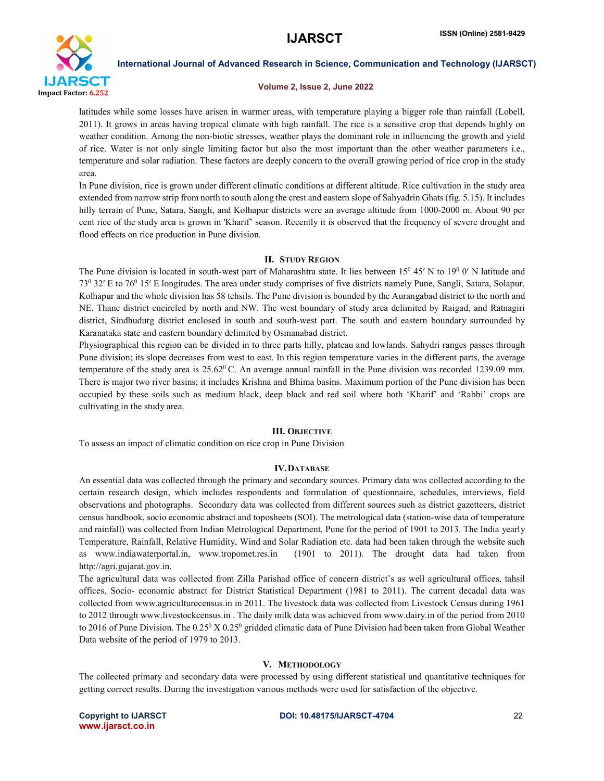

## Volume 2, Issue 2, June 2022

latitudes while some losses have arisen in warmer areas, with temperature playing a bigger role than rainfall (Lobell, 2011). It grows in areas having tropical climate with high rainfall. The rice is a sensitive crop that depends highly on weather condition. Among the non-biotic stresses, weather plays the dominant role in influencing the growth and yield of rice. Water is not only single limiting factor but also the most important than the other weather parameters i.e., temperature and solar radiation. These factors are deeply concern to the overall growing period of rice crop in the study area.

In Pune division, rice is grown under different climatic conditions at different altitude. Rice cultivation in the study area extended from narrow strip from north to south along the crest and eastern slope of Sahyadrin Ghats (fig. 5.15). It includes hilly terrain of Pune, Satara, Sangli, and Kolhapur districts were an average altitude from 1000-2000 m. About 90 per cent rice of the study area is grown in 'Kharif' season. Recently it is observed that the frequency of severe drought and flood effects on rice production in Pune division.

## II. STUDY REGION

The Pune division is located in south-west part of Maharashtra state. It lies between  $15^0$  45' N to  $19^0$  0' N latitude and 730 32′ E to 760 15′ E longitudes. The area under study comprises of five districts namely Pune, Sangli, Satara, Solapur, Kolhapur and the whole division has 58 tehsils. The Pune division is bounded by the Aurangabad district to the north and NE, Thane district encircled by north and NW. The west boundary of study area delimited by Raigad, and Ratnagiri district, Sindhudurg district enclosed in south and south-west part. The south and eastern boundary surrounded by Karanataka state and eastern boundary delimited by Osmanabad district.

Physiographical this region can be divided in to three parts hilly, plateau and lowlands. Sahydri ranges passes through Pune division; its slope decreases from west to east. In this region temperature varies in the different parts, the average temperature of the study area is  $25.62^{\circ}$  C. An average annual rainfall in the Pune division was recorded 1239.09 mm. There is major two river basins; it includes Krishna and Bhima basins. Maximum portion of the Pune division has been occupied by these soils such as medium black, deep black and red soil where both 'Kharif' and 'Rabbi' crops are cultivating in the study area.

## III. OBJECTIVE

To assess an impact of climatic condition on rice crop in Pune Division

## IV.DATABASE

An essential data was collected through the primary and secondary sources. Primary data was collected according to the certain research design, which includes respondents and formulation of questionnaire, schedules, interviews, field observations and photographs. Secondary data was collected from different sources such as district gazetteers, district census handbook, socio economic abstract and toposheets (SOI). The metrological data (station-wise data of temperature and rainfall) was collected from Indian Metrological Department, Pune for the period of 1901 to 2013. The India yearly Temperature, Rainfall, Relative Humidity, Wind and Solar Radiation etc. data had been taken through the website such as www.indiawaterportal.in, www.tropomet.res.in (1901 to 2011). The drought data had taken from http://agri.gujarat.gov.in.

The agricultural data was collected from Zilla Parishad office of concern district's as well agricultural offices, tahsil offices, Socio- economic abstract for District Statistical Department (1981 to 2011). The current decadal data was collected from www.agriculturecensus.in in 2011. The livestock data was collected from Livestock Census during 1961 to 2012 through www.livestockcensus.in . The daily milk data was achieved from www.dairy.in of the period from 2010 to 2016 of Pune Division. The  $0.25^{\circ}$  X  $0.25^{\circ}$  gridded climatic data of Pune Division had been taken from Global Weather Data website of the period of 1979 to 2013.

## V. METHODOLOGY

The collected primary and secondary data were processed by using different statistical and quantitative techniques for getting correct results. During the investigation various methods were used for satisfaction of the objective.

www.ijarsct.co.in

## Copyright to IJARSCT **DOI: 10.48175/IJARSCT-4704** 22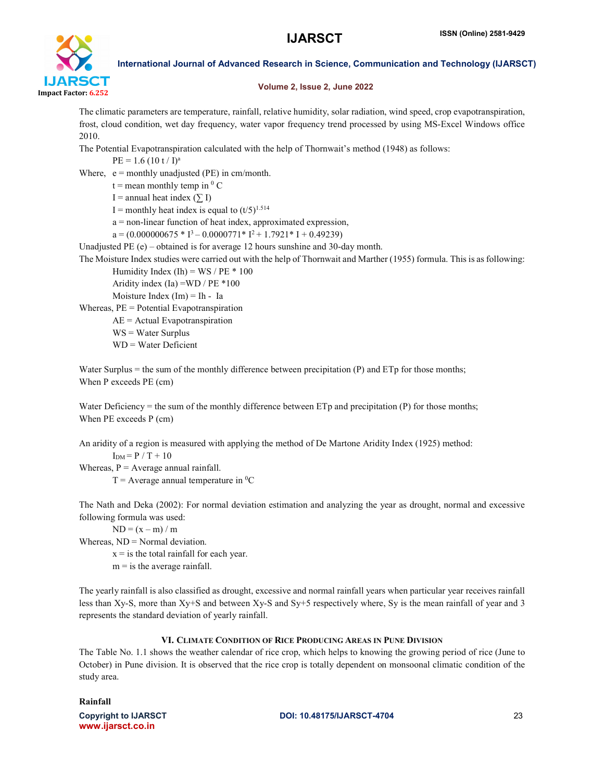

## Volume 2, Issue 2, June 2022

The climatic parameters are temperature, rainfall, relative humidity, solar radiation, wind speed, crop evapotranspiration, frost, cloud condition, wet day frequency, water vapor frequency trend processed by using MS-Excel Windows office 2010.

The Potential Evapotranspiration calculated with the help of Thornwait's method (1948) as follows:

 $PE = 1.6 (10 t / I)^a$ 

Where,  $e =$  monthly unadjusted (PE) in cm/month.

 $t =$  mean monthly temp in  $^{0}$  C

I = annual heat index  $(\sum I)$ 

I = monthly heat index is equal to  $(t/5)^{1.514}$ 

a = non-linear function of heat index, approximated expression,

 $a = (0.000000675 * I^3 - 0.0000771 * I^2 + 1.7921 * I + 0.49239)$ 

Unadjusted PE (e) – obtained is for average 12 hours sunshine and 30-day month.

The Moisture Index studies were carried out with the help of Thornwait and Marther (1955) formula. This is as following:

Humidity Index (Ih) =  $WS / PE * 100$ 

Aridity index (Ia) =WD / PE \*100 Moisture Index  $(Im) = In - Ia$ 

Whereas, PE = Potential Evapotranspiration

AE = Actual Evapotranspiration

WS = Water Surplus

WD = Water Deficient

Water Surplus = the sum of the monthly difference between precipitation (P) and ETp for those months; When P exceeds PE (cm)

Water Deficiency = the sum of the monthly difference between  $ETp$  and precipitation (P) for those months; When PE exceeds P (cm)

An aridity of a region is measured with applying the method of De Martone Aridity Index (1925) method:  $I<sub>DM</sub> = P / T + 10$ 

Whereas,  $P = Average$  annual rainfall.

 $T =$  Average annual temperature in <sup>0</sup>C

The Nath and Deka (2002): For normal deviation estimation and analyzing the year as drought, normal and excessive following formula was used:

 $ND = (x - m) / m$ 

Whereas,  $ND = Normal deviation$ .

 $x =$  is the total rainfall for each year.

 $m = i$  s the average rainfall.

The yearly rainfall is also classified as drought, excessive and normal rainfall years when particular year receives rainfall less than Xy-S, more than Xy+S and between Xy-S and Sy+5 respectively where, Sy is the mean rainfall of year and 3 represents the standard deviation of yearly rainfall.

## VI. CLIMATE CONDITION OF RICE PRODUCING AREAS IN PUNE DIVISION

The Table No. 1.1 shows the weather calendar of rice crop, which helps to knowing the growing period of rice (June to October) in Pune division. It is observed that the rice crop is totally dependent on monsoonal climatic condition of the study area.

## Rainfall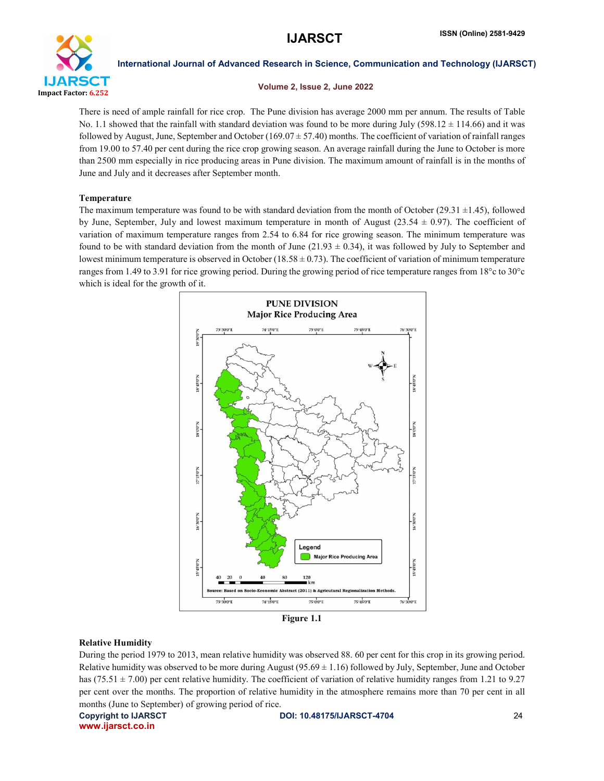

## Volume 2, Issue 2, June 2022

There is need of ample rainfall for rice crop. The Pune division has average 2000 mm per annum. The results of Table No. 1.1 showed that the rainfall with standard deviation was found to be more during July (598.12  $\pm$  114.66) and it was followed by August, June, September and October ( $169.07 \pm 57.40$ ) months. The coefficient of variation of rainfall ranges from 19.00 to 57.40 per cent during the rice crop growing season. An average rainfall during the June to October is more than 2500 mm especially in rice producing areas in Pune division. The maximum amount of rainfall is in the months of June and July and it decreases after September month.

## Temperature

The maximum temperature was found to be with standard deviation from the month of October  $(29.31 \pm 1.45)$ , followed by June, September, July and lowest maximum temperature in month of August (23.54 ± 0.97). The coefficient of variation of maximum temperature ranges from 2.54 to 6.84 for rice growing season. The minimum temperature was found to be with standard deviation from the month of June (21.93  $\pm$  0.34), it was followed by July to September and lowest minimum temperature is observed in October (18.58  $\pm$  0.73). The coefficient of variation of minimum temperature ranges from 1.49 to 3.91 for rice growing period. During the growing period of rice temperature ranges from 18°c to 30°c which is ideal for the growth of it.



Figure 1.1

## Relative Humidity

During the period 1979 to 2013, mean relative humidity was observed 88. 60 per cent for this crop in its growing period. Relative humidity was observed to be more during August  $(95.69 \pm 1.16)$  followed by July, September, June and October has (75.51  $\pm$  7.00) per cent relative humidity. The coefficient of variation of relative humidity ranges from 1.21 to 9.27 per cent over the months. The proportion of relative humidity in the atmosphere remains more than 70 per cent in all months (June to September) of growing period of rice.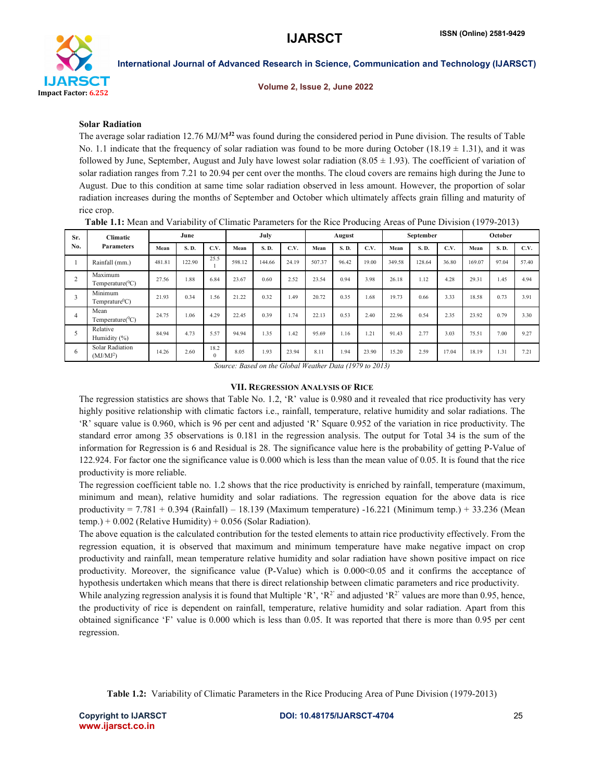

Volume 2, Issue 2, June 2022

## Solar Radiation

The average solar radiation 12.76 MJ/M<sup>12</sup> was found during the considered period in Pune division. The results of Table No. 1.1 indicate that the frequency of solar radiation was found to be more during October (18.19  $\pm$  1.31), and it was followed by June, September, August and July have lowest solar radiation  $(8.05 \pm 1.93)$ . The coefficient of variation of solar radiation ranges from 7.21 to 20.94 per cent over the months. The cloud covers are remains high during the June to August. Due to this condition at same time solar radiation observed in less amount. However, the proportion of solar radiation increases during the months of September and October which ultimately affects grain filling and maturity of rice crop.

| Sr.            | <b>Climatic</b>                          |        | July<br>June<br>August |      |        | September |       |        | October |       |        |        |       |        |       |       |
|----------------|------------------------------------------|--------|------------------------|------|--------|-----------|-------|--------|---------|-------|--------|--------|-------|--------|-------|-------|
| No.            | <b>Parameters</b>                        | Mean   | S.D.                   | C.V. | Mean   | S.D.      | C.V.  | Mean   | S. D.   | C.V.  | Mean   | S.D.   | C.V.  | Mean   | S.D.  | C.V.  |
|                | Rainfall (mm.)                           | 481.81 | 122.90                 | 25.5 | 598.12 | 144.66    | 24.19 | 507.37 | 96.42   | 19.00 | 349.58 | 128.64 | 36.80 | 169.07 | 97.04 | 57.40 |
| $\overline{2}$ | Maximum<br>Temperature( ${}^0C$ )        | 27.56  | 1.88                   | 6.84 | 23.67  | 0.60      | 2.52  | 23.54  | 0.94    | 3.98  | 26.18  | 1.12   | 4.28  | 29.31  | 1.45  | 4.94  |
| 3              | Minimum<br>Temprature <sup>0</sup> C)    | 21.93  | 0.34                   | 1.56 | 21.22  | 0.32      | .49   | 20.72  | 0.35    | 1.68  | 19.73  | 0.66   | 3.33  | 18.58  | 0.73  | 3.91  |
| $\overline{4}$ | Mean<br>Temperature( ${}^0C$ )           | 24.75  | 1.06                   | 4.29 | 22.45  | 0.39      | 1.74  | 22.13  | 0.53    | 2.40  | 22.96  | 0.54   | 2.35  | 23.92  | 0.79  | 3.30  |
|                | Relative<br>Humidity (%)                 | 84.94  | 4.73                   | 5.57 | 94.94  | 1.35      | 1.42  | 95.69  | 16      | .21   | 91.43  | 2.77   | 3.03  | 75.51  | 7.00  | 9.27  |
| 6              | Solar Radiation<br>(MJ/MJ <sup>2</sup> ) | 14.26  | 2.60                   | 18.2 | 8.05   | 1.93      | 23.94 | 8.11   | 1.94    | 23.90 | 15.20  | 2.59   | 17.04 | 18.19  | 1.31  | 721   |

Table 1.1: Mean and Variability of Climatic Parameters for the Rice Producing Areas of Pune Division (1979-2013)

*Source: Based on the Global Weather Data (1979 to 2013)*

## VII. REGRESSION ANALYSIS OF RICE

The regression statistics are shows that Table No. 1.2, 'R' value is 0.980 and it revealed that rice productivity has very highly positive relationship with climatic factors i.e., rainfall, temperature, relative humidity and solar radiations. The 'R' square value is 0.960, which is 96 per cent and adjusted 'R' Square 0.952 of the variation in rice productivity. The standard error among 35 observations is 0.181 in the regression analysis. The output for Total 34 is the sum of the information for Regression is 6 and Residual is 28. The significance value here is the probability of getting P-Value of 122.924. For factor one the significance value is 0.000 which is less than the mean value of 0.05. It is found that the rice productivity is more reliable.

The regression coefficient table no. 1.2 shows that the rice productivity is enriched by rainfall, temperature (maximum, minimum and mean), relative humidity and solar radiations. The regression equation for the above data is rice productivity = 7.781 + 0.394 (Rainfall) – 18.139 (Maximum temperature) -16.221 (Minimum temp.) + 33.236 (Mean temp.) +  $0.002$  (Relative Humidity) +  $0.056$  (Solar Radiation).

The above equation is the calculated contribution for the tested elements to attain rice productivity effectively. From the regression equation, it is observed that maximum and minimum temperature have make negative impact on crop productivity and rainfall, mean temperature relative humidity and solar radiation have shown positive impact on rice productivity. Moreover, the significance value (P-Value) which is 0.000<0.05 and it confirms the acceptance of hypothesis undertaken which means that there is direct relationship between climatic parameters and rice productivity. While analyzing regression analysis it is found that Multiple 'R', ' $R^2$ ' and adjusted ' $R^2$ ' values are more than 0.95, hence,

the productivity of rice is dependent on rainfall, temperature, relative humidity and solar radiation. Apart from this obtained significance 'F' value is 0.000 which is less than 0.05. It was reported that there is more than 0.95 per cent regression.

Table 1.2: Variability of Climatic Parameters in the Rice Producing Area of Pune Division (1979-2013)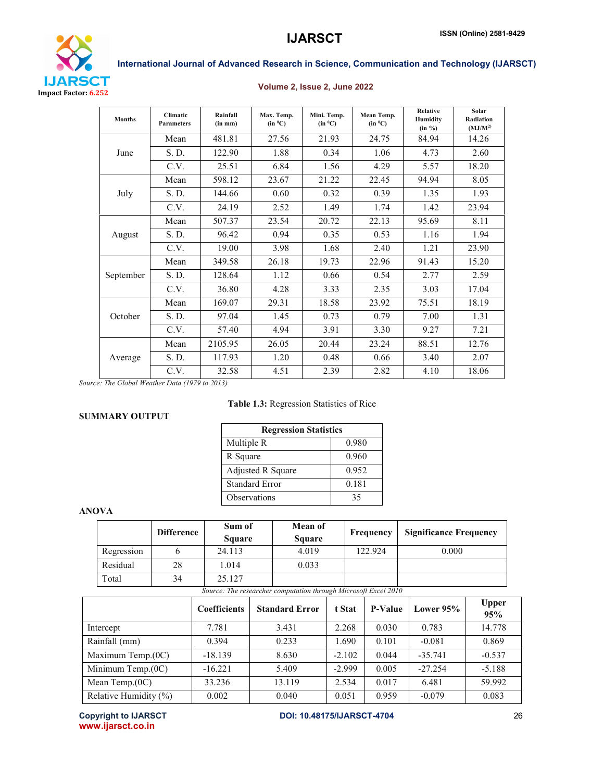

## Volume 2, Issue 2, June 2022

| <b>Months</b> | <b>Climatic</b><br><b>Parameters</b> | Rainfall<br>(in m <sub>m</sub> ) | Max. Temp.<br>$(in^{0}C)$ | Mini. Temp.<br>$(in \ ^0C)$ | Mean Temp.<br>$(in \ ^0C)$ | <b>Relative</b><br>Humidity<br>(in %) | Solar<br>Radiation<br>(MJ/M <sup>2</sup> ) |
|---------------|--------------------------------------|----------------------------------|---------------------------|-----------------------------|----------------------------|---------------------------------------|--------------------------------------------|
|               | Mean                                 | 481.81                           | 27.56                     | 21.93                       | 24.75                      | 84.94                                 | 14.26                                      |
| June          | S.D.                                 | 122.90                           | 1.88                      | 0.34                        | 1.06                       | 4.73                                  | 2.60                                       |
|               | C.V.                                 | 25.51                            | 6.84                      | 1.56                        | 4.29                       | 5.57                                  | 18.20                                      |
|               | Mean                                 | 598.12                           | 23.67                     | 21.22                       | 22.45                      | 94.94                                 | 8.05                                       |
| July          | S.D.                                 | 144.66                           | 0.60                      | 0.32                        | 0.39                       | 1.35                                  | 1.93                                       |
|               | C.V.                                 | 24.19                            | 2.52                      | 1.49                        | 1.74                       | 1.42                                  | 23.94                                      |
|               | Mean                                 | 507.37                           | 23.54                     | 20.72                       | 22.13                      | 95.69                                 | 8.11                                       |
| August        | S. D.                                | 96.42                            | 0.94                      | 0.35                        | 0.53                       | 1.16                                  | 1.94                                       |
|               | C.V.                                 | 19.00                            | 3.98                      | 1.68                        | 2.40                       | 1.21                                  | 23.90                                      |
|               | Mean                                 | 349.58                           | 26.18                     | 19.73                       | 22.96                      | 91.43                                 | 15.20                                      |
| September     | S. D.                                | 128.64                           | 1.12                      | 0.66                        | 0.54                       | 2.77                                  | 2.59                                       |
|               | C.V.                                 | 36.80                            | 4.28                      | 3.33                        | 2.35                       | 3.03                                  | 17.04                                      |
|               | Mean                                 | 169.07                           | 29.31                     | 18.58                       | 23.92                      | 75.51                                 | 18.19                                      |
| October       | S. D.                                | 97.04                            | 1.45                      | 0.73                        | 0.79                       | 7.00                                  | 1.31                                       |
|               | C.V.                                 | 57.40                            | 4.94                      | 3.91                        | 3.30                       | 9.27                                  | 7.21                                       |
|               | Mean                                 | 2105.95                          | 26.05                     | 20.44                       | 23.24                      | 88.51                                 | 12.76                                      |
| Average       | S.D.                                 | 117.93                           | 1.20                      | 0.48                        | 0.66                       | 3.40                                  | 2.07                                       |
|               | C.V.                                 | 32.58                            | 4.51                      | 2.39                        | 2.82                       | 4.10                                  | 18.06                                      |

*Source: The Global Weather Data (1979 to 2013)*

## Table 1.3: Regression Statistics of Rice

## SUMMARY OUTPUT

| <b>Regression Statistics</b> |       |  |  |  |  |  |
|------------------------------|-------|--|--|--|--|--|
| Multiple R                   | 0.980 |  |  |  |  |  |
| R Square                     | 0.960 |  |  |  |  |  |
| Adjusted R Square            | 0.952 |  |  |  |  |  |
| <b>Standard Error</b>        | 0.181 |  |  |  |  |  |
| Observations                 | 35    |  |  |  |  |  |

## ANOVA

|            | <b>Difference</b> | Sum of<br><b>Square</b> | Mean of<br><b>Square</b> | Frequency | <b>Significance Frequency</b> |
|------------|-------------------|-------------------------|--------------------------|-----------|-------------------------------|
| Regression |                   | 24.113                  | 4.019                    | 122.924   | 0.000                         |
| Residual   | 28                | 1.014                   | 0.033                    |           |                               |
| Total      | 34                | 25.127                  |                          |           |                               |

*Source: The researcher computation through Microsoft Excel 2010*

|                       | <b>Coefficients</b> | <b>Standard Error</b> | t Stat   | <b>P-Value</b> | Lower $95%$ | <b>Upper</b><br>95% |
|-----------------------|---------------------|-----------------------|----------|----------------|-------------|---------------------|
| Intercept             | 7.781               | 3.431                 | 2.268    | 0.030          | 0.783       | 14.778              |
| Rainfall (mm)         | 0.394               | 0.233                 | 1.690    | 0.101          | $-0.081$    | 0.869               |
| Maximum Temp.(0C)     | $-18.139$           | 8.630                 | $-2.102$ | 0.044          | $-35.741$   | $-0.537$            |
| Minimum Temp.(0C)     | $-16.221$           | 5.409                 | $-2.999$ | 0.005          | $-27.254$   | $-5.188$            |
| Mean Temp. $(0C)$     | 33.236              | 13.119                | 2.534    | 0.017          | 6.481       | 59.992              |
| Relative Humidity (%) | 0.002               | 0.040                 | 0.051    | 0.959          | $-0.079$    | 0.083               |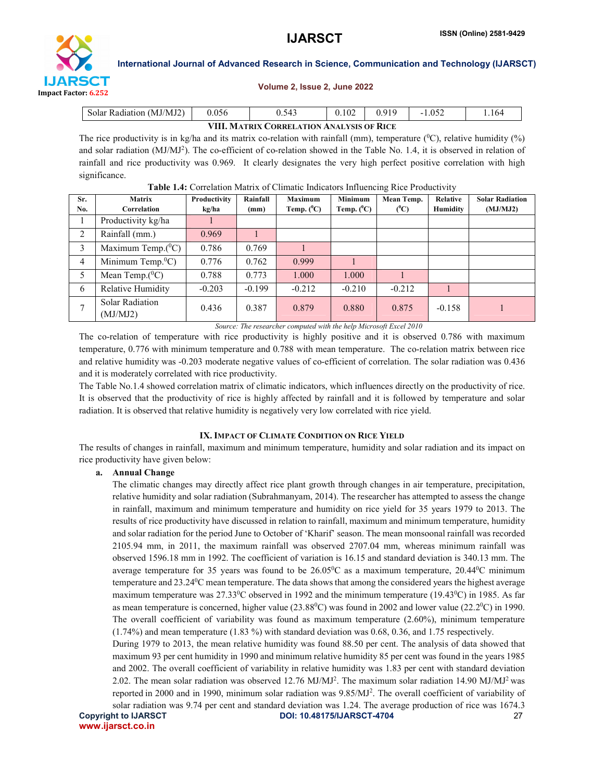

## Volume 2, Issue 2, June 2022

| Solar Radiation (MJ/MJ2)                  | 0.056 | 0.543 | .102 | 0.919 |  | 164 |  |  |  |  |
|-------------------------------------------|-------|-------|------|-------|--|-----|--|--|--|--|
| VIII. MATRIX CORRELATION ANALYSIS OF RICE |       |       |      |       |  |     |  |  |  |  |

The rice productivity is in kg/ha and its matrix co-relation with rainfall (mm), temperature  $(^{0}C)$ , relative humidity  $(^{9}O)$ and solar radiation (MJ/MJ<sup>2</sup>). The co-efficient of co-relation showed in the Table No. 1.4, it is observed in relation of rainfall and rice productivity was 0.969. It clearly designates the very high perfect positive correlation with high significance.

| Sr.<br>No.     | <b>Matrix</b><br>Correlation       | Productivity<br>kg/ha | Rainfall<br>(mm) | <b>Maximum</b><br>Temp. $(^0C)$ | <b>Minimum</b><br>Temp. $(^0C)$ | Mean Temp.<br>$(^0C)$ | Relative<br>Humidity | <b>Solar Radiation</b><br>(MJ/MJ2) |
|----------------|------------------------------------|-----------------------|------------------|---------------------------------|---------------------------------|-----------------------|----------------------|------------------------------------|
|                | Productivity kg/ha                 |                       |                  |                                 |                                 |                       |                      |                                    |
| 2              | Rainfall (mm.)                     | 0.969                 |                  |                                 |                                 |                       |                      |                                    |
| 3              | Maximum Temp. $(^{0}C)$            | 0.786                 | 0.769            |                                 |                                 |                       |                      |                                    |
| $\overline{4}$ | Minimum Temp. ${}^0C$ )            | 0.776                 | 0.762            | 0.999                           |                                 |                       |                      |                                    |
| 5              | Mean Temp. $(^0C)$                 | 0.788                 | 0.773            | 1.000                           | 1.000                           |                       |                      |                                    |
| 6              | Relative Humidity                  | $-0.203$              | $-0.199$         | $-0.212$                        | $-0.210$                        | $-0.212$              |                      |                                    |
|                | <b>Solar Radiation</b><br>(MJ/MJ2) | 0.436                 | 0.387            | 0.879                           | 0.880                           | 0.875                 | $-0.158$             |                                    |

Table 1.4: Correlation Matrix of Climatic Indicators Influencing Rice Productivity

*Source: The researcher computed with the help Microsoft Excel 2010*

The co-relation of temperature with rice productivity is highly positive and it is observed 0.786 with maximum temperature, 0.776 with minimum temperature and 0.788 with mean temperature. The co-relation matrix between rice and relative humidity was -0.203 moderate negative values of co-efficient of correlation. The solar radiation was 0.436 and it is moderately correlated with rice productivity.

The Table No.1.4 showed correlation matrix of climatic indicators, which influences directly on the productivity of rice. It is observed that the productivity of rice is highly affected by rainfall and it is followed by temperature and solar radiation. It is observed that relative humidity is negatively very low correlated with rice yield.

## IX. IMPACT OF CLIMATE CONDITION ON RICE YIELD

The results of changes in rainfall, maximum and minimum temperature, humidity and solar radiation and its impact on rice productivity have given below:

## a. Annual Change

The climatic changes may directly affect rice plant growth through changes in air temperature, precipitation, relative humidity and solar radiation (Subrahmanyam, 2014). The researcher has attempted to assess the change in rainfall, maximum and minimum temperature and humidity on rice yield for 35 years 1979 to 2013. The results of rice productivity have discussed in relation to rainfall, maximum and minimum temperature, humidity and solar radiation for the period June to October of 'Kharif' season. The mean monsoonal rainfall was recorded 2105.94 mm, in 2011, the maximum rainfall was observed 2707.04 mm, whereas minimum rainfall was observed 1596.18 mm in 1992. The coefficient of variation is 16.15 and standard deviation is 340.13 mm. The average temperature for 35 years was found to be  $26.05^{\circ}$ C as a maximum temperature,  $20.44^{\circ}$ C minimum temperature and 23.24 °C mean temperature. The data shows that among the considered years the highest average maximum temperature was  $27.33^{\circ}$ C observed in 1992 and the minimum temperature (19.43 $^{\circ}$ C) in 1985. As far as mean temperature is concerned, higher value  $(23.88^{\circ}\text{C})$  was found in 2002 and lower value  $(22.2^{\circ}\text{C})$  in 1990. The overall coefficient of variability was found as maximum temperature (2.60%), minimum temperature (1.74%) and mean temperature (1.83 %) with standard deviation was 0.68, 0.36, and 1.75 respectively.

During 1979 to 2013, the mean relative humidity was found 88.50 per cent. The analysis of data showed that maximum 93 per cent humidity in 1990 and minimum relative humidity 85 per cent was found in the years 1985 and 2002. The overall coefficient of variability in relative humidity was 1.83 per cent with standard deviation 2.02. The mean solar radiation was observed 12.76 MJ/MJ<sup>2</sup>. The maximum solar radiation 14.90 MJ/MJ<sup>2</sup> was reported in 2000 and in 1990, minimum solar radiation was  $9.85/MJ<sup>2</sup>$ . The overall coefficient of variability of solar radiation was 9.74 per cent and standard deviation was 1.24. The average production of rice was 1674.3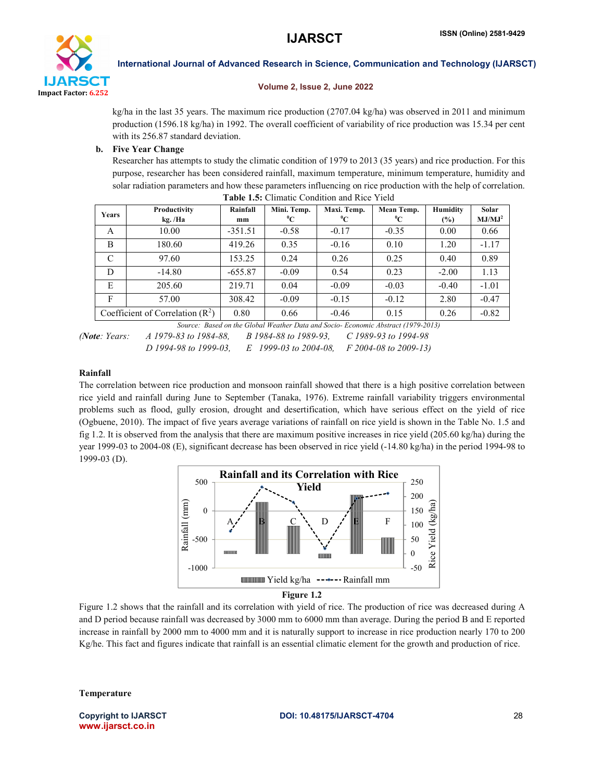

## Volume 2, Issue 2, June 2022

kg/ha in the last 35 years. The maximum rice production (2707.04 kg/ha) was observed in 2011 and minimum production (1596.18 kg/ha) in 1992. The overall coefficient of variability of rice production was 15.34 per cent with its 256.87 standard deviation.

## b. Five Year Change

Researcher has attempts to study the climatic condition of 1979 to 2013 (35 years) and rice production. For this purpose, researcher has been considered rainfall, maximum temperature, minimum temperature, humidity and solar radiation parameters and how these parameters influencing on rice production with the help of correlation. Table 1.5: Climatic Condition and Rice Yield

| <b>Years</b> | Productivity<br>kg./Ha             | Rainfall<br>mm | Mini. Temp.<br>$^0C$ | Maxi. Temp.<br>$^0C$ | Mean Temp.<br>$\rm ^{0}C$ | Humidity<br>$(\%)$ | Solar<br>MJ/MJ <sup>2</sup> |
|--------------|------------------------------------|----------------|----------------------|----------------------|---------------------------|--------------------|-----------------------------|
| A            | 10.00                              | $-351.51$      | $-0.58$              | $-0.17$              | $-0.35$                   | 0.00               | 0.66                        |
| B            | 180.60                             | 419.26         | 0.35                 | $-0.16$              | 0.10                      | 1.20               | $-1.17$                     |
| C            | 97.60                              | 153.25         | 0.24                 | 0.26                 | 0.25                      | 0.40               | 0.89                        |
| D            | $-14.80$                           | $-655.87$      | $-0.09$              | 0.54                 | 0.23                      | $-2.00$            | 1.13                        |
| E            | 205.60                             | 219.71         | 0.04                 | $-0.09$              | $-0.03$                   | $-0.40$            | $-1.01$                     |
| F            | 57.00                              | 308.42         | $-0.09$              | $-0.15$              | $-0.12$                   | 2.80               | $-0.47$                     |
|              | Coefficient of Correlation $(R^2)$ | 0.80           | 0.66                 | $-0.46$              | 0.15                      | 0.26               | $-0.82$                     |

*Source: Based on the Global Weather Data and Socio- Economic Abstract (1979-2013) (Note: Years: A 1979-83 to 1984-88, B 1984-88 to 1989-93, C 1989-93 to 1994-98* 

*D 1994-98 to 1999-03, E 1999-03 to 2004-08, F 2004-08 to 2009-13)*

## Rainfall

The correlation between rice production and monsoon rainfall showed that there is a high positive correlation between rice yield and rainfall during June to September (Tanaka, 1976). Extreme rainfall variability triggers environmental problems such as flood, gully erosion, drought and desertification, which have serious effect on the yield of rice (Ogbuene, 2010). The impact of five years average variations of rainfall on rice yield is shown in the Table No. 1.5 and fig 1.2. It is observed from the analysis that there are maximum positive increases in rice yield (205.60 kg/ha) during the year 1999-03 to 2004-08 (E), significant decrease has been observed in rice yield (-14.80 kg/ha) in the period 1994-98 to 1999-03 (D).



Figure 1.2

Figure 1.2 shows that the rainfall and its correlation with yield of rice. The production of rice was decreased during A and D period because rainfall was decreased by 3000 mm to 6000 mm than average. During the period B and E reported increase in rainfall by 2000 mm to 4000 mm and it is naturally support to increase in rice production nearly 170 to 200 Kg/he. This fact and figures indicate that rainfall is an essential climatic element for the growth and production of rice.

Temperature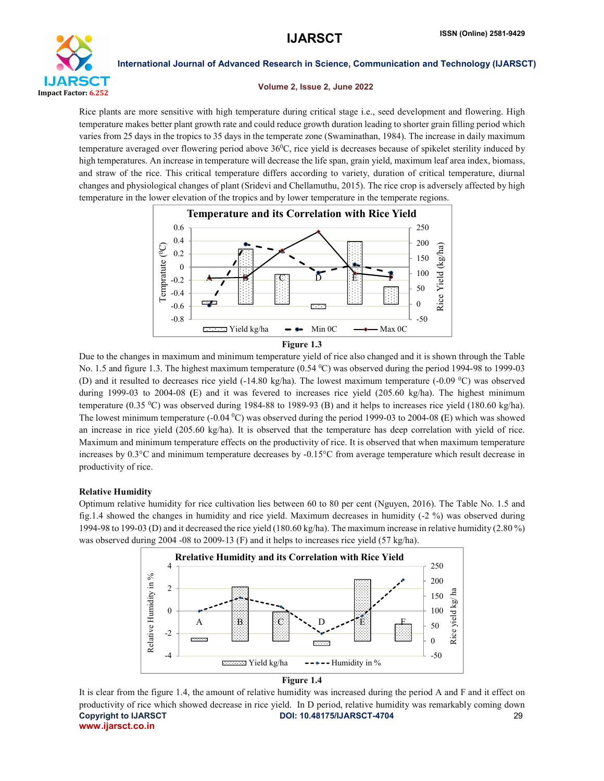

## Volume 2, Issue 2, June 2022

Rice plants are more sensitive with high temperature during critical stage i.e., seed development and flowering. High temperature makes better plant growth rate and could reduce growth duration leading to shorter grain filling period which varies from 25 days in the tropics to 35 days in the temperate zone (Swaminathan, 1984). The increase in daily maximum temperature averaged over flowering period above  $36^{\circ}$ C, rice yield is decreases because of spikelet sterility induced by high temperatures. An increase in temperature will decrease the life span, grain yield, maximum leaf area index, biomass, and straw of the rice. This critical temperature differs according to variety, duration of critical temperature, diurnal changes and physiological changes of plant (Sridevi and Chellamuthu, 2015). The rice crop is adversely affected by high temperature in the lower elevation of the tropics and by lower temperature in the temperate regions.



Due to the changes in maximum and minimum temperature yield of rice also changed and it is shown through the Table No. 1.5 and figure 1.3. The highest maximum temperature (0.54 °C) was observed during the period 1994-98 to 1999-03 (D) and it resulted to decreases rice yield  $(-14.80 \text{ kg/ha})$ . The lowest maximum temperature  $(-0.09 \text{ °C})$  was observed during 1999-03 to 2004-08 (E) and it was fevered to increases rice yield (205.60 kg/ha). The highest minimum temperature (0.35 0 C) was observed during 1984-88 to 1989-93 (B) and it helps to increases rice yield (180.60 kg/ha). The lowest minimum temperature (-0.04 °C) was observed during the period 1999-03 to 2004-08 (E) which was showed an increase in rice yield (205.60 kg/ha). It is observed that the temperature has deep correlation with yield of rice. Maximum and minimum temperature effects on the productivity of rice. It is observed that when maximum temperature increases by 0.3°C and minimum temperature decreases by -0.15°C from average temperature which result decrease in productivity of rice.

## Relative Humidity

Optimum relative humidity for rice cultivation lies between 60 to 80 per cent (Nguyen, 2016). The Table No. 1.5 and fig.1.4 showed the changes in humidity and rice yield. Maximum decreases in humidity (-2 %) was observed during 1994-98 to 199-03 (D) and it decreased the rice yield (180.60 kg/ha). The maximum increase in relative humidity (2.80 %) was observed during 2004 -08 to 2009-13 (F) and it helps to increases rice yield (57 kg/ha).



## Figure 1.4

Copyright to IJARSCT **DOI: 10.48175/IJARSCT-4704** 29 www.ijarsct.co.in It is clear from the figure 1.4, the amount of relative humidity was increased during the period A and F and it effect on productivity of rice which showed decrease in rice yield. In D period, relative humidity was remarkably coming down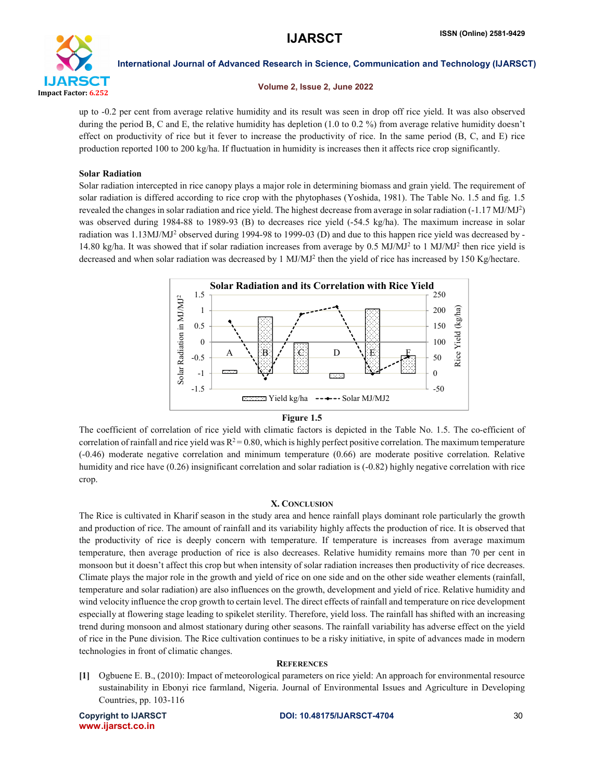

## Volume 2, Issue 2, June 2022

up to -0.2 per cent from average relative humidity and its result was seen in drop off rice yield. It was also observed during the period B, C and E, the relative humidity has depletion (1.0 to 0.2 %) from average relative humidity doesn't effect on productivity of rice but it fever to increase the productivity of rice. In the same period (B, C, and E) rice production reported 100 to 200 kg/ha. If fluctuation in humidity is increases then it affects rice crop significantly.

## Solar Radiation

Solar radiation intercepted in rice canopy plays a major role in determining biomass and grain yield. The requirement of solar radiation is differed according to rice crop with the phytophases (Yoshida, 1981). The Table No. 1.5 and fig. 1.5 revealed the changes in solar radiation and rice yield. The highest decrease from average in solar radiation  $(-1.17 \text{ MJ/MJ}^2)$ was observed during 1984-88 to 1989-93 (B) to decreases rice yield (-54.5 kg/ha). The maximum increase in solar radiation was 1.13MJ/MJ2 observed during 1994-98 to 1999-03 (D) and due to this happen rice yield was decreased by - 14.80 kg/ha. It was showed that if solar radiation increases from average by 0.5 MJ/MJ<sup>2</sup> to 1 MJ/MJ<sup>2</sup> then rice yield is decreased and when solar radiation was decreased by 1 MJ/MJ<sup>2</sup> then the yield of rice has increased by 150 Kg/hectare.



## Figure 1.5

The coefficient of correlation of rice yield with climatic factors is depicted in the Table No. 1.5. The co-efficient of correlation of rainfall and rice yield was  $R^2 = 0.80$ , which is highly perfect positive correlation. The maximum temperature (-0.46) moderate negative correlation and minimum temperature (0.66) are moderate positive correlation. Relative humidity and rice have (0.26) insignificant correlation and solar radiation is (-0.82) highly negative correlation with rice crop.

## X. CONCLUSION

The Rice is cultivated in Kharif season in the study area and hence rainfall plays dominant role particularly the growth and production of rice. The amount of rainfall and its variability highly affects the production of rice. It is observed that the productivity of rice is deeply concern with temperature. If temperature is increases from average maximum temperature, then average production of rice is also decreases. Relative humidity remains more than 70 per cent in monsoon but it doesn't affect this crop but when intensity of solar radiation increases then productivity of rice decreases. Climate plays the major role in the growth and yield of rice on one side and on the other side weather elements (rainfall, temperature and solar radiation) are also influences on the growth, development and yield of rice. Relative humidity and wind velocity influence the crop growth to certain level. The direct effects of rainfall and temperature on rice development especially at flowering stage leading to spikelet sterility. Therefore, yield loss. The rainfall has shifted with an increasing trend during monsoon and almost stationary during other seasons. The rainfall variability has adverse effect on the yield of rice in the Pune division. The Rice cultivation continues to be a risky initiative, in spite of advances made in modern technologies in front of climatic changes.

## **REFERENCES**

[1] Ogbuene E. B., (2010): Impact of meteorological parameters on rice yield: An approach for environmental resource sustainability in Ebonyi rice farmland, Nigeria. Journal of Environmental Issues and Agriculture in Developing Countries, pp. 103-116

www.ijarsct.co.in

## Copyright to IJARSCT DOI: 10.48175/IJARSCT-4704 30